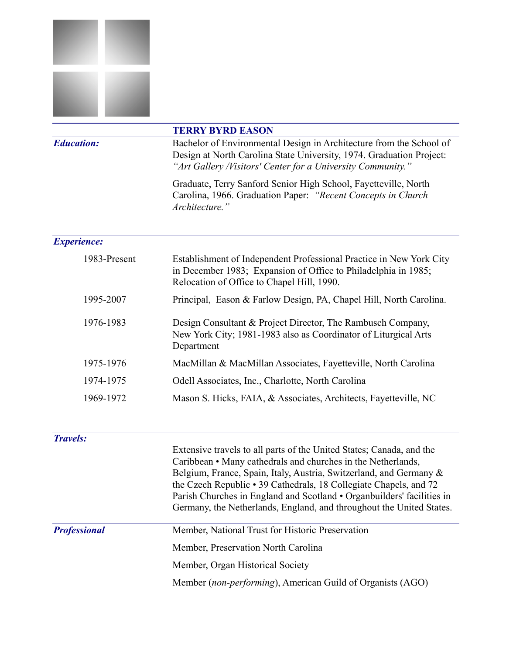

|                           | <b>TERRY BYRD EASON</b>                                                                                                                                                                                    |  |
|---------------------------|------------------------------------------------------------------------------------------------------------------------------------------------------------------------------------------------------------|--|
| <b>Education:</b>         | Bachelor of Environmental Design in Architecture from the School of<br>Design at North Carolina State University, 1974. Graduation Project:<br>"Art Gallery /Visitors' Center for a University Community." |  |
|                           | Graduate, Terry Sanford Senior High School, Fayetteville, North<br>Carolina, 1966. Graduation Paper: "Recent Concepts in Church"<br>Architecture."                                                         |  |
| <i><b>Experience:</b></i> |                                                                                                                                                                                                            |  |

| 1983-Present | Establishment of Independent Professional Practice in New York City<br>in December 1983; Expansion of Office to Philadelphia in 1985;<br>Relocation of Office to Chapel Hill, 1990. |
|--------------|-------------------------------------------------------------------------------------------------------------------------------------------------------------------------------------|
| 1995-2007    | Principal, Eason & Farlow Design, PA, Chapel Hill, North Carolina.                                                                                                                  |
| 1976-1983    | Design Consultant & Project Director, The Rambusch Company,<br>New York City; 1981-1983 also as Coordinator of Liturgical Arts<br>Department                                        |
| 1975-1976    | MacMillan & MacMillan Associates, Fayetteville, North Carolina                                                                                                                      |
| 1974-1975    | Odell Associates, Inc., Charlotte, North Carolina                                                                                                                                   |
| 1969-1972    | Mason S. Hicks, FAIA, & Associates, Architects, Fayetteville, NC                                                                                                                    |

## *Travels:*

Extensive travels to all parts of the United States; Canada, and the Caribbean • Many cathedrals and churches in the Netherlands, Belgium, France, Spain, Italy, Austria, Switzerland, and Germany & the Czech Republic • 39 Cathedrals, 18 Collegiate Chapels, and 72 Parish Churches in England and Scotland • Organbuilders' facilities in Germany, the Netherlands, England, and throughout the United States.

| <b>Professional</b> |  |
|---------------------|--|
|                     |  |

| Member, National Trust for Historic Preservation |
|--------------------------------------------------|
| Member, Preservation North Carolina              |
| Member, Organ Historical Society                 |
|                                                  |

Member (*non-performing*), American Guild of Organists (AGO)